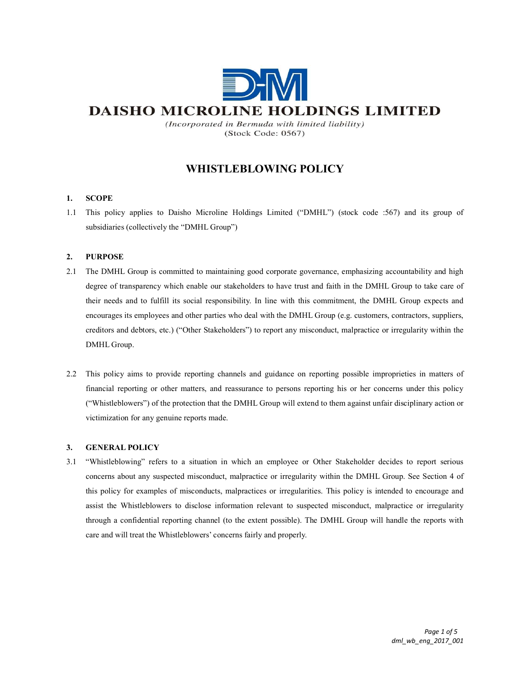

(Incorporated in Bermuda with limited liability) (Stock Code: 0567)

# WHISTLEBLOWING POLICY

## 1. SCOPE

1.1 This policy applies to Daisho Microline Holdings Limited ("DMHL") (stock code :567) and its group of subsidiaries (collectively the "DMHL Group")

# 2. PURPOSE

- 2.1 The DMHL Group is committed to maintaining good corporate governance, emphasizing accountability and high degree of transparency which enable our stakeholders to have trust and faith in the DMHL Group to take care of their needs and to fulfill its social responsibility. In line with this commitment, the DMHL Group expects and encourages its employees and other parties who deal with the DMHL Group (e.g. customers, contractors, suppliers, creditors and debtors, etc.) ("Other Stakeholders") to report any misconduct, malpractice or irregularity within the DMHL Group.
- 2.2 This policy aims to provide reporting channels and guidance on reporting possible improprieties in matters of financial reporting or other matters, and reassurance to persons reporting his or her concerns under this policy ("Whistleblowers") of the protection that the DMHL Group will extend to them against unfair disciplinary action or victimization for any genuine reports made.

## 3. GENERAL POLICY

3.1 "Whistleblowing" refers to a situation in which an employee or Other Stakeholder decides to report serious concerns about any suspected misconduct, malpractice or irregularity within the DMHL Group. See Section 4 of this policy for examples of misconducts, malpractices or irregularities. This policy is intended to encourage and assist the Whistleblowers to disclose information relevant to suspected misconduct, malpractice or irregularity through a confidential reporting channel (to the extent possible). The DMHL Group will handle the reports with care and will treat the Whistleblowers' concerns fairly and properly.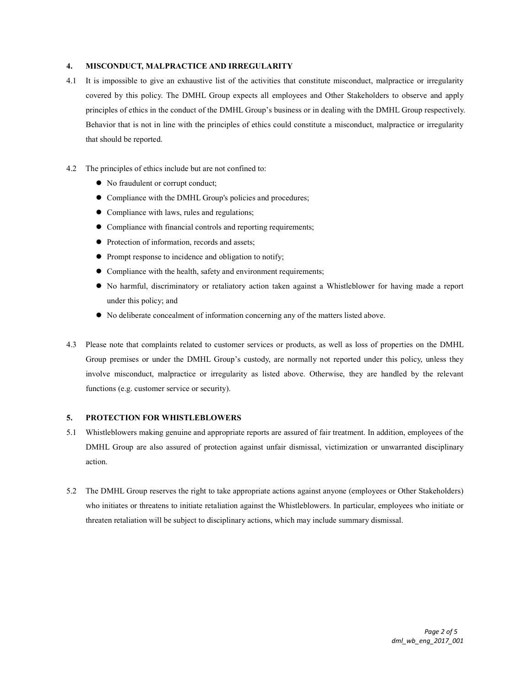#### 4. MISCONDUCT, MALPRACTICE AND IRREGULARITY

- 4.1 It is impossible to give an exhaustive list of the activities that constitute misconduct, malpractice or irregularity covered by this policy. The DMHL Group expects all employees and Other Stakeholders to observe and apply principles of ethics in the conduct of the DMHL Group's business or in dealing with the DMHL Group respectively. Behavior that is not in line with the principles of ethics could constitute a misconduct, malpractice or irregularity that should be reported.
- 4.2 The principles of ethics include but are not confined to:
	- No fraudulent or corrupt conduct;
	- Compliance with the DMHL Group's policies and procedures;
	- Compliance with laws, rules and regulations;
	- Compliance with financial controls and reporting requirements;
	- Protection of information, records and assets;
	- Prompt response to incidence and obligation to notify;
	- Compliance with the health, safety and environment requirements;
	- No harmful, discriminatory or retaliatory action taken against a Whistleblower for having made a report under this policy; and
	- No deliberate concealment of information concerning any of the matters listed above.
- 4.3 Please note that complaints related to customer services or products, as well as loss of properties on the DMHL Group premises or under the DMHL Group's custody, are normally not reported under this policy, unless they involve misconduct, malpractice or irregularity as listed above. Otherwise, they are handled by the relevant functions (e.g. customer service or security).

#### 5. PROTECTION FOR WHISTLEBLOWERS

- 5.1 Whistleblowers making genuine and appropriate reports are assured of fair treatment. In addition, employees of the DMHL Group are also assured of protection against unfair dismissal, victimization or unwarranted disciplinary action.
- 5.2 The DMHL Group reserves the right to take appropriate actions against anyone (employees or Other Stakeholders) who initiates or threatens to initiate retaliation against the Whistleblowers. In particular, employees who initiate or threaten retaliation will be subject to disciplinary actions, which may include summary dismissal.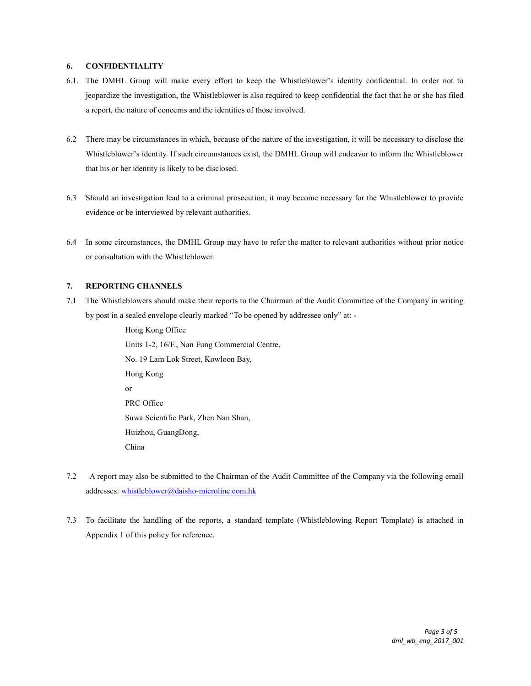#### 6. CONFIDENTIALITY

- 6.1. The DMHL Group will make every effort to keep the Whistleblower's identity confidential. In order not to jeopardize the investigation, the Whistleblower is also required to keep confidential the fact that he or she has filed a report, the nature of concerns and the identities of those involved.
- 6.2 There may be circumstances in which, because of the nature of the investigation, it will be necessary to disclose the Whistleblower's identity. If such circumstances exist, the DMHL Group will endeavor to inform the Whistleblower that his or her identity is likely to be disclosed.
- 6.3 Should an investigation lead to a criminal prosecution, it may become necessary for the Whistleblower to provide evidence or be interviewed by relevant authorities.
- 6.4 In some circumstances, the DMHL Group may have to refer the matter to relevant authorities without prior notice or consultation with the Whistleblower.

## 7. REPORTING CHANNELS

7.1 The Whistleblowers should make their reports to the Chairman of the Audit Committee of the Company in writing by post in a sealed envelope clearly marked "To be opened by addressee only" at: -

> Hong Kong Office Units 1-2, 16/F., Nan Fung Commercial Centre, No. 19 Lam Lok Street, Kowloon Bay, Hong Kong or PRC Office Suwa Scientific Park, Zhen Nan Shan, Huizhou, GuangDong, China

- 7.2 A report may also be submitted to the Chairman of the Audit Committee of the Company via the following email addresses: whistleblower@daisho-microline.com.hk
- 7.3 To facilitate the handling of the reports, a standard template (Whistleblowing Report Template) is attached in Appendix 1 of this policy for reference.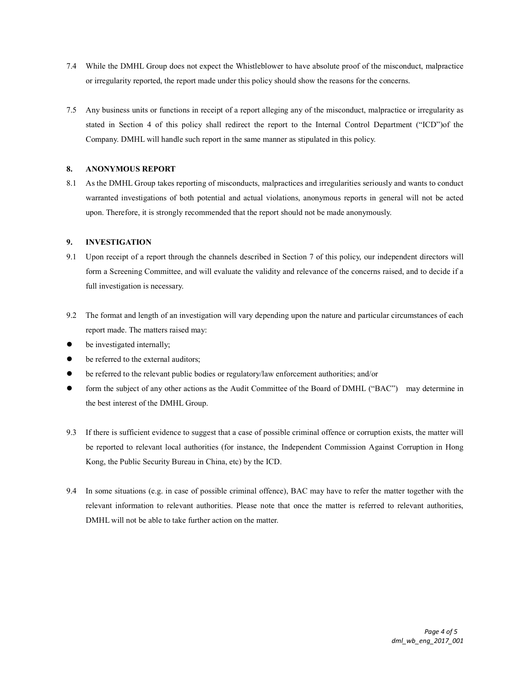- 7.4 While the DMHL Group does not expect the Whistleblower to have absolute proof of the misconduct, malpractice or irregularity reported, the report made under this policy should show the reasons for the concerns.
- 7.5 Any business units or functions in receipt of a report alleging any of the misconduct, malpractice or irregularity as stated in Section 4 of this policy shall redirect the report to the Internal Control Department ("ICD")of the Company. DMHL will handle such report in the same manner as stipulated in this policy.

## 8. ANONYMOUS REPORT

8.1 As the DMHL Group takes reporting of misconducts, malpractices and irregularities seriously and wants to conduct warranted investigations of both potential and actual violations, anonymous reports in general will not be acted upon. Therefore, it is strongly recommended that the report should not be made anonymously.

## 9. INVESTIGATION

- 9.1 Upon receipt of a report through the channels described in Section 7 of this policy, our independent directors will form a Screening Committee, and will evaluate the validity and relevance of the concerns raised, and to decide if a full investigation is necessary.
- 9.2 The format and length of an investigation will vary depending upon the nature and particular circumstances of each report made. The matters raised may:
- be investigated internally;
- be referred to the external auditors;
- be referred to the relevant public bodies or regulatory/law enforcement authorities; and/or
- form the subject of any other actions as the Audit Committee of the Board of DMHL ("BAC") may determine in the best interest of the DMHL Group.
- 9.3 If there is sufficient evidence to suggest that a case of possible criminal offence or corruption exists, the matter will be reported to relevant local authorities (for instance, the Independent Commission Against Corruption in Hong Kong, the Public Security Bureau in China, etc) by the ICD.
- 9.4 In some situations (e.g. in case of possible criminal offence), BAC may have to refer the matter together with the relevant information to relevant authorities. Please note that once the matter is referred to relevant authorities, DMHL will not be able to take further action on the matter.